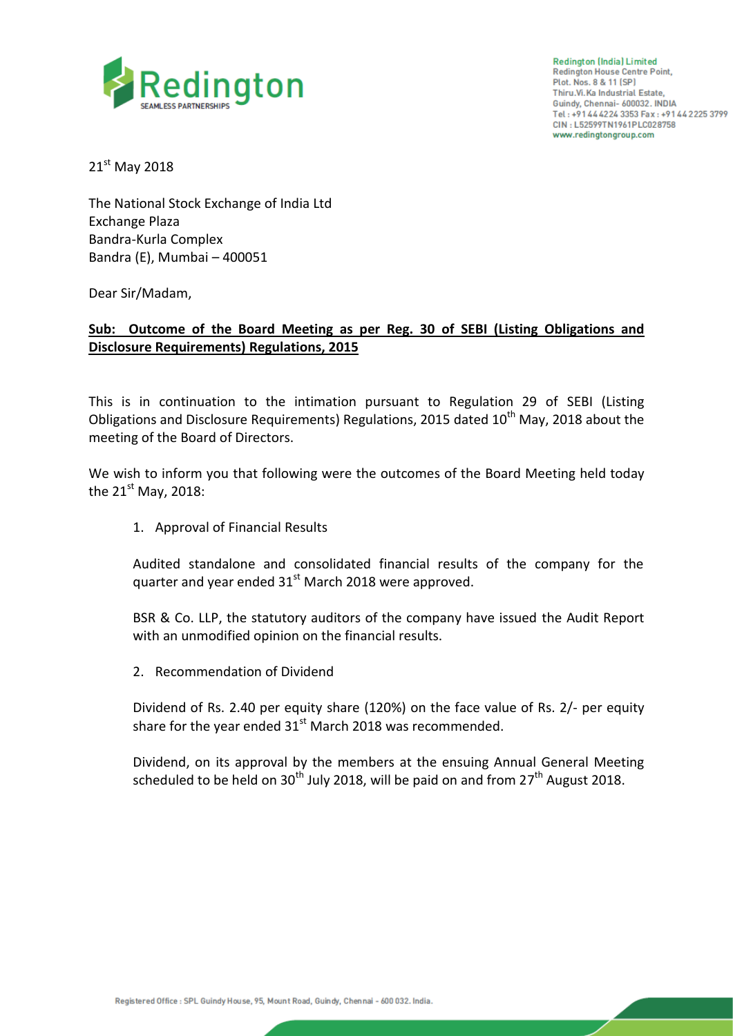

**Redington (India) Limited Redington House Centre Point,** Plot. Nos. 8 & 11 (SP) Thiru.Vi.Ka Industrial Estate, Guindy, Chennai- 600032. INDIA Tel: +91 44 4224 3353 Fax: +91 44 2225 3799 CIN: L52599TN1961PLC028758 www.redingtongroup.com

21st May 2018

The National Stock Exchange of India Ltd Exchange Plaza Bandra-Kurla Complex Bandra (E), Mumbai – 400051

Dear Sir/Madam,

## **Sub: Outcome of the Board Meeting as per Reg. 30 of SEBI (Listing Obligations and Disclosure Requirements) Regulations, 2015**

This is in continuation to the intimation pursuant to Regulation 29 of SEBI (Listing Obligations and Disclosure Requirements) Regulations, 2015 dated  $10<sup>th</sup>$  May, 2018 about the meeting of the Board of Directors.

We wish to inform you that following were the outcomes of the Board Meeting held today the  $21<sup>st</sup>$  May, 2018:

1. Approval of Financial Results

Audited standalone and consolidated financial results of the company for the quarter and year ended 31<sup>st</sup> March 2018 were approved.

BSR & Co. LLP, the statutory auditors of the company have issued the Audit Report with an unmodified opinion on the financial results.

2. Recommendation of Dividend

Dividend of Rs. 2.40 per equity share (120%) on the face value of Rs. 2/- per equity share for the year ended  $31<sup>st</sup>$  March 2018 was recommended.

Dividend, on its approval by the members at the ensuing Annual General Meeting scheduled to be held on 30<sup>th</sup> July 2018, will be paid on and from 27<sup>th</sup> August 2018.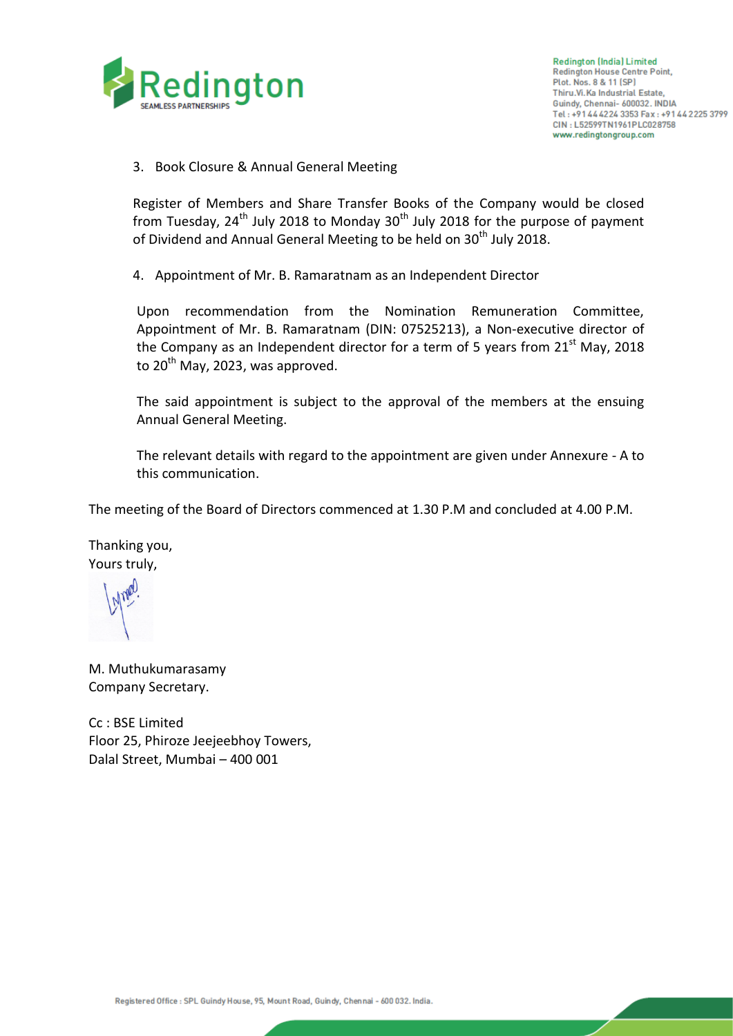

3. Book Closure & Annual General Meeting

Register of Members and Share Transfer Books of the Company would be closed from Tuesday,  $24<sup>th</sup>$  July 2018 to Monday 30<sup>th</sup> July 2018 for the purpose of payment of Dividend and Annual General Meeting to be held on 30<sup>th</sup> July 2018.

4. Appointment of Mr. B. Ramaratnam as an Independent Director

Upon recommendation from the Nomination Remuneration Committee, Appointment of Mr. B. Ramaratnam (DIN: 07525213), a Non-executive director of the Company as an Independent director for a term of 5 years from  $21^{st}$  May, 2018 to  $20^{th}$  May, 2023, was approved.

The said appointment is subject to the approval of the members at the ensuing Annual General Meeting.

The relevant details with regard to the appointment are given under Annexure - A to this communication.

The meeting of the Board of Directors commenced at 1.30 P.M and concluded at 4.00 P.M.

Thanking you, Yours truly,

M. Muthukumarasamy Company Secretary.

Cc : BSE Limited Floor 25, Phiroze Jeejeebhoy Towers, Dalal Street, Mumbai – 400 001